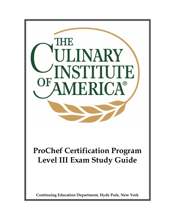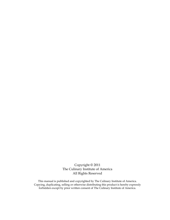Copyright © 2011 The Culinary Institute of America All Rights Reserved

This manual is published and copyrighted by The Culinary Institute of America. Copying, duplicating, selling or otherwise distributing this product is hereby expressly forbidden except by prior written consent of The Culinary Institute of America.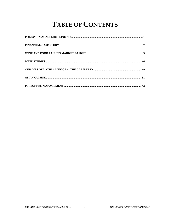# **TABLE OF CONTENTS**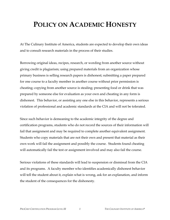# **POLICY ON ACADEMIC HONESTY**

At The Culinary Institute of America, students are expected to develop their own ideas and to consult research materials in the process of their studies.

Borrowing original ideas, recipes, research, or wording from another source without giving credit is plagiarism; using prepared materials from an organization whose primary business is selling research papers is dishonest; submitting a paper prepared for one course to a faculty member in another course without prior permission is cheating; copying from another source is stealing; presenting food or drink that was prepared by someone else for evaluation as your own and cheating in any form is dishonest. This behavior, or assisting any one else in this behavior, represents a serious violation of professional and academic standards at the CIA and will not be tolerated.

Since such behavior is demeaning to the academic integrity of the degree and certification programs, students who do not record the sources of their information will fail that assignment and may be required to complete another equivalent assignment. Students who copy materials that are not their own and present that material as their own work will fail the assignment and possibly the course. Students found cheating will automatically fail the test or assignment involved and may also fail the course.

Serious violations of these standards will lead to suspension or dismissal from the CIA and its programs. A faculty member who identifies academically dishonest behavior will tell the student about it, explain what is wrong, ask for an explanation, and inform the student of the consequences for the dishonesty.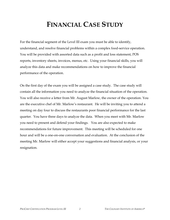# **FINANCIAL CASE STUDY**

For the financial segment of the Level III exam you must be able to identify, understand, and resolve financial problems within a complex food-service operation. You will be provided with assorted data such as a profit and loss statement, POS reports, inventory sheets, invoices, menus, etc. Using your financial skills, you will analyze this data and make recommendations on how to improve the financial performance of the operation.

On the first day of the exam you will be assigned a case study. The case study will contain all the information you need to analyze the financial situation of the operation. You will also receive a letter from Mr. August Marlow, the owner of the operation. You are the executive chef of Mr. Marlow's restaurant. He will be inviting you to attend a meeting on day four to discuss the restaurants poor financial performance for the last quarter. You have three days to analyze the data. When you meet with Mr. Marlow you need to present and defend your findings. You are also expected to make recommendations for future improvement. This meeting will be scheduled for one hour and will be a one-on-one conversation and evaluation. At the conclusion of the meeting Mr. Marlow will either accept your suggestions and financial analysis, or your resignation.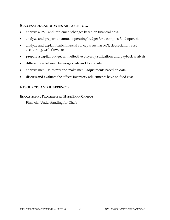### **SUCCESSFUL CANDIDATES ARE ABLE TO…**

- analyze a P&L and implement changes based on financial data.
- analyze and prepare an annual operating budget for a complex food operation.
- analyze and explain basic financial concepts such as ROI, depreciation, cost accounting, cash flow, etc.
- prepare a capital budget with effective project justifications and payback analysis.
- differentiate between beverage costs and food costs.
- analyze menu sales mix and make menu adjustments based on data.
- discuss and evaluate the effects inventory adjustments have on food cost.

## **RESOURCES AND REFERENCES**

### **EDUCATIONAL PROGRAMS AT HYDE PARK CAMPUS**

Financial Understanding for Chefs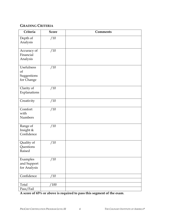# **GRADING CRITERIA**

| Criteria                                      | <b>Score</b> | <b>Comments</b> |
|-----------------------------------------------|--------------|-----------------|
| Depth of<br>Analysis                          | /10          |                 |
| Accuracy of<br>Financial<br>Analysis          | /10          |                 |
| Usefulness<br>of<br>Suggestions<br>for Change | /10          |                 |
| Clarity of<br>Explanations                    | /10          |                 |
| Creativity                                    | /10          |                 |
| Comfort<br>with<br>Numbers                    | /10          |                 |
| Range of<br>Insight &<br>Confidence           | /10          |                 |
| Quality of<br>Questions<br>Raised             | /10          |                 |
| Examples<br>and Support<br>for Analysis       | /10          |                 |
| Confidence                                    | 10           |                 |
|                                               |              |                 |
| Total<br>Pass/Fail                            | 100          |                 |

**A score of 65% or above is required to pass this segment of the exam**.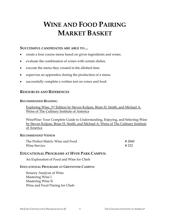# **WINE AND FOOD PAIRING MARKET BASKET**

#### **SUCCESSFUL CANDIDATES ARE ABLE TO…**

- create a four course menu based on given ingredients and wines.
- evaluate the combination of wines with certain dishes.
- execute the menu they created in the allotted time.
- supervise an apprentice during the production of a menu.
- successfully complete a written test on wines and food.

## **RESOURCES AND REFERENCES**

#### **RECOMMENDED READING**

Exploring Wine, 3rd Edition by Steven Kolpan, Brian H. Smith, and Michael A. Weiss of The Culinary Institute of America

WineWise: Your Complete Guide to Understanding, Enjoying, and Selecting Wine by Steven Kolpan, Brian H. Smith, and Michael A. Weiss of The Culinary Institute of America

### **RECOMMENDED VIDEOS**

| The Perfect Match: Wine and Food | #2840 |
|----------------------------------|-------|
| <b>Wine Service</b>              | # 232 |

## **EDUCATIONAL PROGRAMS AT HYDE PARK CAMPUS:**

An Exploration of Food and Wine for Chefs

### **EDUCATIONAL PROGRAMS AT GREYSTONE CAMPUS:**

Sensory Analysis of Wine Mastering Wine I Mastering Wine II Wine and Food Pairing for Chefs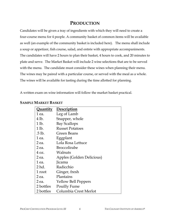# **PRODUCTION**

Candidates will be given a tray of ingredients with which they will need to create a four-course menu for 4 people. A community basket of common items will be available as well (an example of the community basket is included here). The menu shall include a soup or appetizer, fish course, salad, and entrée with appropriate accompaniments. The candidates will have 2 hours to plan their basket, 4 hours to cook, and 20 minutes to plate and serve. The Market Basket will include 2 wine selections that are to be served with the menu. The candidate must consider these wines when planning their menu. The wines may be paired with a particular course, or served with the meal as a whole. The wines will be available for tasting during the time allotted for planning.

A written exam on wine information will follow the market basket practical.

| <b>Quantity</b> | Description                |
|-----------------|----------------------------|
| 1 ea.           | Leg of Lamb                |
| 4 lb.           | Snapper, whole             |
| 1 lb.           | <b>Bay Scallops</b>        |
| 1 lb.           | <b>Russet Potatoes</b>     |
| .5 lb.          | Green Beans                |
| 1 ea.           | Eggplant                   |
| 2 ea.           | Lola Rosa Lettuce          |
| 2 ea.           | <b>Broccolirabe</b>        |
| 4 oz.           | Walnuts                    |
| 2 ea.           | Apples (Golden Delicious)  |
| 1 ea.           | Jicama                     |
| 2 hd.           | Radicchio                  |
| 1 root          | Ginger, fresh              |
| 2 ea.           | Plantains                  |
| 2 ea.           | <b>Yellow Bell Peppers</b> |
| 2 bottles       | Pouilly Fume               |
| 2 bottles       | Columbia Crest Merlot      |

### **SAMPLE MARKET BASKET**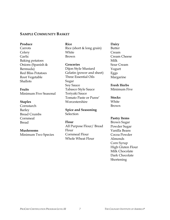#### **SAMPLE COMMUNITY BASKET**

#### **Produce**

Carrots **Celery** Garlic Baking potatoes Onions (Spanish & Bermuda) Red Bliss Potatoes Root Vegetable Shallots

**Fruits** 

Minimum Five Seasonal

#### **Staples**

**Cornstarch** Barley Bread Crumbs Cornmeal Bread

#### **Mushrooms**

Minimum Two Species

**Rice** Rice (short & long grain) White Brown

**Groceries** Dijon Style Mustard Gelatin (power and sheet) Three Essential Oils Sugar Soy Sauce Tabasco Style Sauce Teriyaki Sauce Tomato Paste or Puree' Worcestershire

**Spice and Seasoning Selection** 

#### **Flour**

All Purpose Flour/ Bread Flour Cornmeal Flour Whole Wheat Flour

#### **Dairy**

Butter Cream Cream Cheese Milk Sour Cream Yogurt Eggs Margarine

#### **Fresh Herbs**

Minimum Five

**Stocks** White Brown

#### **Pastry Items**

Brown Sugar Powder Sugar Vanilla Beans Cocoa Powder Almonds Corn Syrup High Gluten Flour Milk Chocolate Dark Chocolate **Shortening**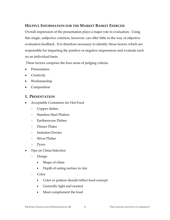## **HELPFUL INFORMATION FOR THE MARKET BASKET EXERCISE**

Overall impression of the presentation plays a major role in evaluation. Using this single, subjective criterion, however, can offer little in the way of objective evaluation feedback. It is therefore necessary to identify those factors which are responsible for imparting the positive or negative impressions and evaluate each on an individual basis.

These factors comprise the four areas of judging criteria.

- Presentation
- Creativity
- Workmanship
- Composition

#### **1. PRESENTATION**

- Acceptable Containers for Hot Food
	- − Copper dishes
	- − Stainless Steel Platters
	- − Earthenware Dishes
	- − Dinner Plates
	- − Imitation Pewter
	- − Silver Platter
	- − Pyrex
- Tips on China Selection
	- − Design
		- Shape of china
		- Depth of eating surface to rim
	- − Color
		- Color or pattern should reflect food concept
		- Generally light and neutral
		- Must complement the food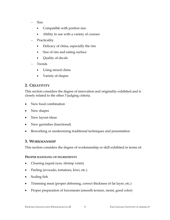- Size
	- Compatible with portion size
	- Ability to use with a variety of courses
- Practicality
	- Delicacy of china, especially the rim
	- Size of rim and eating surface
	- Quality of decals
- Trends
	- Using mixed china
	- Variety of shapes

# **2. CREATIVITY**

This section considers the degree of innovation and originality exhibited and is closely related to the other 3 judging criteria.

- New food combination
- New shapes
- New layout ideas
- New garnishes (functional)
- Reworking or modernizing traditional techniques and presentation

## **3. WORKMANSHIP**

This section considers the degree of workmanship or skill exhibited in terms of:

#### **PROPER HANDLING OF INGREDIENTS**

- Cleaning (squid eyes, shrimp veins)
- Peeling (avocado, tomatoes, kiwi, etc.)
- Scaling fish
- Trimming meat (proper deboning, correct thickness of fat layer, etc.)
- Proper preparation of forcemeats (smooth texture, moist, good color)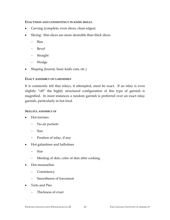#### **EXACTNESS AND CONSISTENCY IN KNIFE SKILLS**

- Carving (complete, even slices, clean edges)
- Slicing: thin slices are more desirable than thick slices
	- − Bias
	- − Bevel
	- − Straight
	- − Wedge
- Shaping (tourné, basic knife cuts, etc.)

#### **EXACT ASSEMBLY OF GARNISHES**

It is commonly felt that inlays, if attempted, must be exact. If an inlay is even slightly "off" the highly structured configuration of this type of garnish is magnified. In most instances a random garnish is preferred over an exact inlay garnish, particularly in hot food.

#### **SKILLFUL ASSEMBLY OF**

- Hot terrines
	- − No air pockets
	- − Size
	- − Position of inlay, if any
- Hot galantines and ballotines
	- − Size
	- − Meeting of skin, color of skin after cooking
- Hot mousseline
	- − Consistency
	- − Smoothness of forcemeat
- Tarts and Pies
	- − Thickness of crust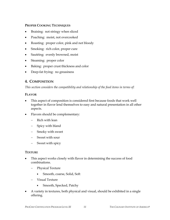#### **PROPER COOKING TECHNIQUES**

- Braising: not stringy when sliced
- Poaching: moist, not overcooked
- Roasting: proper color, pink and not bloody
- Smoking: rich color, proper cure
- Sautéing: evenly browned, moist
- Steaming: proper color
- Baking: proper crust thickness and color
- Deep-fat frying: no greasiness

### **4. COMPOSITION**

*This section considers the compatibility and relationship of the food items in terms of:* 

#### **FLAVOR**

- This aspect of composition is considered first because foods that work well together in flavor lend themselves to easy and natural presentation in all other aspects.
- Flavors should be complementary:
	- − Rich with lean
	- − Spicy with bland
	- − Smoky with sweet
	- − Sweet with sour
	- − Sweet with spicy

#### **TEXTURE**

- This aspect works closely with flavor in determining the success of food combinations.
	- − Physical Texture
		- Smooth, coarse, Solid, Soft
	- − Visual Texture
		- Smooth, Specked, Patchy
- A variety in textures, both physical and visual, should be exhibited in a single offering.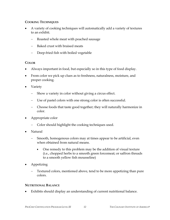#### **COOKING TECHNIQUES**

- A variety of cooking techniques will automatically add a variety of textures to an exhibit.
	- Roasted whole meat with poached sausage
	- Baked crust with braised meats
	- − Deep-fried fish with boiled vegetable

#### **COLOR**

- Always important in food, but especially so in this type of food display.
- From color we pick up clues as to freshness, naturalness, moisture, and proper cooking.
- Variety
	- Show a variety in color without giving a circus effect.
	- Use of pastel colors with one strong color is often successful.
	- − Choose foods that taste good together; they will naturally harmonize in color.
- Appropriate color
	- − Color should highlight the cooking techniques used.
- Natural
	- Smooth, homogenous colors may at times appear to be artificial, even when obtained from natural means.
		- One remedy to this problem may be the addition of visual texture (i.e., chopped herbs to a smooth green forcemeat; or saffron threads to a smooth yellow fish mousseline)
- Appetizing
	- Textured colors, mentioned above, tend to be more appetizing than pure colors.

#### **NUTRITIONAL BALANCE**

Exhibits should display an understanding of current nutritional balance.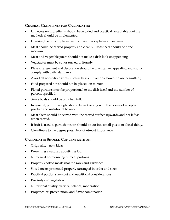#### **GENERAL GUIDELINES FOR CANDIDATES:**

- Unnecessary ingredients should be avoided and practical, acceptable cooking methods should be implemented.
- Dressing the rims of plates results in an unacceptable appearance.
- Meat should be carved properly and cleanly. Roast beef should be done medium.
- Meat and vegetable juices should not make a dish look unappetizing.
- Vegetables must be cut or turned uniformly.
- Plate arrangement and decoration should be practical yet appealing and should comply with daily standards.
- Avoid all non-edible items, such as bases. (Croutons, however, are permitted.)
- Food prepared hot should not be placed on mirrors.
- Plated portions must be proportional to the dish itself and the number of persons specified.
- Sauce boats should be only half full.
- In general, portion weight should be in keeping with the norms of accepted practice and nutritional balance.
- Meat slices should be served with the carved surface upwards and not left as when carved.
- If fruit is used to garnish meat it should be cut into small pieces or sliced thinly.
- Cleanliness to the degree possible is of utmost importance.

#### **CANDIDATES SHOULD CONCENTRATE ON:**

- Originality new ideas
- Presenting a natural, appetizing look
- Numerical harmonizing of meat portions
- Properly cooked meats (not too rare) and garnishes
- Sliced meats presented properly (arranged in order and size)
- Practical portion size (cost and nutritional considerations)
- Precisely cut vegetables
- Nutritional quality, variety, balance, moderation.
- Proper color, presentation, and flavor combination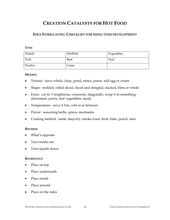# **CREATION CATALYSTS FOR HOT FOOD**

# **IDEA STIMULATING CHECKLIST FOR MENU ITEM DEVELOPMENT**

#### **ITEM**

| Finfish | Shellfish | Vegetables |
|---------|-----------|------------|
| Pork    | Beef      | Veal       |
| Poultry | Game      |            |

#### **MODIFY**

- Texture: leave whole, chop, grind, mince, puree, add egg or cream
- Shape: molded, rolled diced, sliced and shingled, stacked, filets or whole
- Form: cut in  $\frac{1}{2}$  lengthwise, crosswise, diagonally, wrap it in something (forcemeat, pastry, leaf vegetables, meat)
- Temperature: serve it hot, cold or in between
- Flavor: seasoning herbs, spices, marinades
- Cooking method: sauté, deep-fry, smoke roast, broil, bake, poach, stew

#### **REVERSE**

- What's opposite
- Turn inside out
- Turn upside down

#### **REARRANGE**

- Place on top
- Place underneath
- Place inside
- Place around
- Place on the sides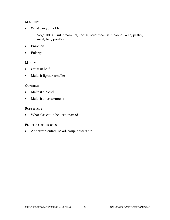#### **MAGNIFY**

- What can you add?
	- − Vegetables, fruit, cream, fat, cheese, forcemeat, salpicon, duxelle, pastry, meat, fish, poultry
- Enrichen
- Enlarge

#### **MINIFY**

- Cut it in half
- Make it lighter, smaller

#### **COMBINE**

- Make it a blend
- Make it an assortment

#### **SUBSTITUTE**

• What else could be used instead?

#### **PUT IT TO OTHER USES**

• Appetizer, entree, salad, soup, dessert etc.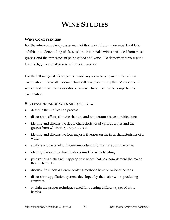# **WINE STUDIES**

### **WINE COMPETENCIES**

For the wine competency assessment of the Level III exam you must be able to exhibit an understanding of classical grape varietals, wines produced from these grapes, and the intricacies of pairing food and wine. To demonstrate your wine knowledge, you must pass a written examination.

Use the following list of competencies and key terms to prepare for the written examination. The written examination will take place during the PM session and will consist of twenty-five questions. You will have one hour to complete this examination.

#### **SUCCESSFUL CANDIDATES ARE ABLE TO…**

- describe the vinification process.
- discuss the effects climatic changes and temperature have on viticulture.
- identify and discuss the flavor characteristics of various wines and the grapes from which they are produced.
- identify and discuss the four major influences on the final characteristics of a wine.
- analyze a wine label to discern important information about the wine.
- identify the various classifications used for wine labeling.
- pair various dishes with appropriate wines that best complement the major flavor elements.
- discuss the effects different cooking methods have on wine selections.
- discuss the appellation systems developed by the major wine–producing countries.
- explain the proper techniques used for opening different types of wine bottles.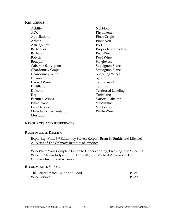#### **KEY TERMS**

Acidity AOC Appellations Aroma Astringency Barbaresco Barbera Botytis Bouquet Cabernet Sauvignon Chardonnay Grape Chardonnay Wine Chianti Dessert Wine Distillation Dolcetto Dry Fortified Wines Fumé Blanc Late Harvest Maleolactic Fermentation Muscadet

Nebbiolo Phylloxera Pinot Grigio Pinot Noir Port Proprietary Labeling Red Wine Rosé Wine Sangiovese Sauvignon Blanc Sauvignon Blanc Sparkling Wines Syrah Tannic Acid Tannins Territorial Labeling Trebbiano Varietal Labeling Viticulture Vinification White Wine

#### **RESOURCES AND REFERENCES**

#### **RECOMMENDED READING**

Exploring Wine, 3rd Edition by Steven Kolpan, Brian H. Smith, and Michael A. Weiss of The Culinary Institute of America

WineWise: Your Complete Guide to Understanding, Enjoying, and Selecting Wine by Steven Kolpan, Brian H. Smith, and Michael A. Weiss of The Culinary Institute of America

#### **RECOMMENDED VIDEOS**

| The Perfect Match: Wine and Food | #2840 |
|----------------------------------|-------|
| <b>Wine Service</b>              | # 232 |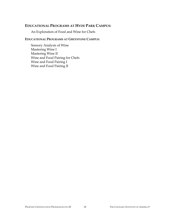## **EDUCATIONAL PROGRAMS AT HYDE PARK CAMPUS:**

An Exploration of Food and Wine for Chefs

#### **EDUCATIONAL PROGRAMS AT GREYSTONE CAMPUS:**

Sensory Analysis of Wine Mastering Wine I Mastering Wine II Wine and Food Pairing for Chefs Wine and Food Pairing I Wine and Food Pairing II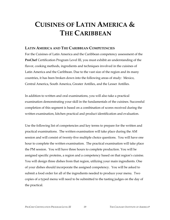# **CUISINES OF LATIN AMERICA & THE CARIBBEAN**

#### **LATIN AMERICA AND THE CARIBBEAN COMPETENCIES**

For the Cuisines of Latin America and the Caribbean competency assessment of the **ProChef** Certification Program Level III, you must exhibit an understanding of the flavor, cooking methods, ingredients and techniques involved in the cuisines of Latin America and the Caribbean. Due to the vast size of the region and its many countries, it has been broken down into the following areas of study: Mexico, Central America, South America, Greater Antilles, and the Lesser Antilles.

In addition to written and oral examinations, you will also take a practical examination demonstrating your skill in the fundamentals of the cuisines. Successful completion of this segment is based on a combination of scores received during the written examination, kitchen practical and product identification and evaluation.

Use the following list of competencies and key terms to prepare for the written and practical examinations. The written examination will take place during the AM session and will consist of twenty-five multiple choice questions. You will have one hour to complete the written examination. The practical examination will take place the PM session. You will have three hours to complete production. You will be assigned specific proteins, a region and a competency based on that region's cuisine. You will design three dishes from that region, utilizing your main ingredients. One of your dishes should incorporate the assigned competency. You will be asked to submit a food order for all of the ingredients needed to produce your menu. Two copies of a typed menu will need to be submitted to the tasting judges on the day of the practical.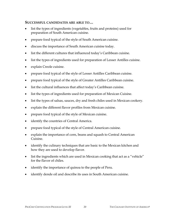#### **SUCCESSFUL CANDIDATES ARE ABLE TO…**

- list the types of ingredients (vegetables, fruits and proteins) used for preparation of South American cuisine.
- prepare food typical of the style of South American cuisine.
- discuss the importance of South American cuisine today.
- list the different cultures that influenced today's Caribbean cuisine.
- list the types of ingredients used for preparation of Lesser Antilles cuisine.
- explain Creole cuisine.
- prepare food typical of the style of Lesser Antilles Caribbean cuisine.
- prepare food typical of the style of Greater Antilles Caribbean cuisine.
- list the cultural influences that affect today's Caribbean cuisine.
- list the types of ingredients used for preparation of Mexican Cuisine.
- list the types of salsas, sauces, dry and fresh chiles used in Mexican cookery.
- explain the different flavor profiles from Mexican cuisine.
- prepare food typical of the style of Mexican cuisine.
- identify the countries of Central America.
- prepare food typical of the style of Central American cuisine.
- explain the importance of corn, beans and squash to Central American Cuisine.
- identify the culinary techniques that are basic to the Mexican kitchen and how they are used to develop flavor.
- list the ingredients which are used in Mexican cooking that act as a "vehicle" for the flavor of chiles.
- identify the importance of quinoa to the people of Peru.
- identify dende oil and describe its uses in South American cuisine.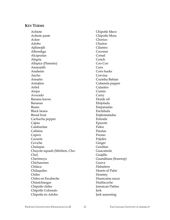#### **KEY TERMS**

Achiote Achiote paste Ackee Adobo Ajilimojili Albondiga Alcapurias Alegria Allspice (Pimento) Amaranth Anaheim Ancho Annatto Antojitos Arbol Arepa Avocado Banana leaves Bananas Beans Black beans Bread fruit Cachucha pepper Cajeta Calabazitas Callaloo Capers Cazuela Ceviche Chalupas Chayote squash (Mirliton, Cho-Cho) Cherimoya Chicharones Chilaca Chilaquiles Chiles Chiles en Escabeche Chimichangas Chipotle chiles Chipotle Colorado Chipotle en Adobo

Chipotle Meco Chipotle Mora Chorizo Chuños Cilantro Coconut Comal Conch Coo Coo Corn Corn husks Corvina Cozinha Bahian Cubanela pepper Culantro Cumin Curry Dende oil Efrijolada Empanadas Enchilada **Enjitomatadas** Entrada Epazote Fideo Flautas Fresno Frijoles Ginger Gorditas Guacamole Guajillo Guanábana (Soursop) Guava Habañero Hearts of Palm Hominy Huancaina sauce Huitlacoche Jamaican Patties Jerk Jerk seasoning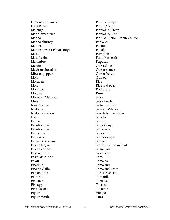Lemons and limes Long Beans Malanga Manchamanteles Mango Mango chutney Manioc Mannish water (Goat soup) Masa Masa harina Matambre Metate Mexican chocolate Mirasol pepper Mojo Molcajete Mole Molinillo Molotes Moros y Cristianos Mulato New Mexico Nixtamal Nixtamalization Okra Palillo Panela sugar Panela sugar Panuchos Papa seca Papaya (Pawpaw) Pasilla Negro Pasilla Oaxaca Passion Fruit Pastel de choclo Pelau Picadillo Pico de Gallo Pigeon Peas Piloncillo Pine nuts Pineapple Pinto beans Pipian Pipian Verde

Piquillo pepper Piquin/Tepin Plantains, Green Plantains, Ripe Platillo Fuerte -- Main Course Poblano Postre Pozole Pumpkin Pumpkin seeds Pupusas Quesadillas Queso blanco Queso fresco Quinoa Rice Rice and peas Roti bread Rum Salsa Salsa Verde Salted cod fish Sauce Ti-Malice Scotch bonnet chiles Seviche Sofrito Sopa -Soup Sopa Seca Sopes Sour oranges Spinach Star fruit (Carambola) Sugar cane Sweet corn Taco Tamales Tamarind Tamarind paste Taro (Dasheen) Tomatillo Tortillas Tostata Tostones Vatapa Yuca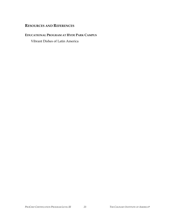# **RESOURCES AND REFERENCES**

#### **EDUCATIONAL PROGRAM AT HYDE PARK CAMPUS**

Vibrant Dishes of Latin America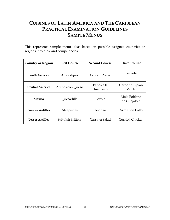# **CUISINES OF LATIN AMERICA AND THE CARIBBEAN PRACTICAL EXAMINATION GUIDELINES SAMPLE MENUS**

This represents sample menu ideas based on possible assigned countries or regions, proteins, and competencies.

| <b>Country or Region</b>            | <b>First Course</b> | <b>Second Course</b>    | <b>Third Course</b>          |
|-------------------------------------|---------------------|-------------------------|------------------------------|
| <b>South America</b>                | Albondigas          | Avocado Salad           | Fejoada                      |
| Central America<br>Arepas con Queso |                     | Papas a la<br>Huancaina | Carne en Pipian<br>Verde     |
| Mexico                              | Quesadilla          | Pozole                  | Mole Poblano<br>de Guajolote |
| <b>Greater Antilles</b>             | Alcapurias          | Asopao                  | Arroz con Pollo              |
| <b>Lesser Antilles</b>              | Salt-fish Fritters  | Cassava Salad           | Curried Chicken              |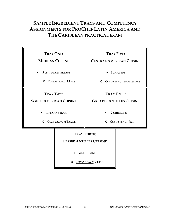# **SAMPLE INGREDIENT TRAYS AND COMPETENCY ASSIGNMENTS FOR PROCHEF LATIN AMERICA AND THE CARIBBEAN PRACTICAL EXAM**

| <b>TRAY ONE:</b><br><b>MEXICAN CUISINE</b>                    |                                                      |                                                      | <b>TRAY FIVE:</b><br><b>CENTRAL AMERICAN CUISINE</b> |
|---------------------------------------------------------------|------------------------------------------------------|------------------------------------------------------|------------------------------------------------------|
| <b>3 LB. TURKEY BREAST</b><br>O COMPETENCY: MOLE              |                                                      |                                                      | • 1 CHICKEN<br>O COMPETENCY EMPANADAS                |
| <b>TRAY TWO:</b><br><b>SOUTH AMERICAN CUISINE</b>             |                                                      | <b>TRAY FOUR:</b><br><b>GREATER ANTILLES CUISINE</b> |                                                      |
| <b>1 FLANK STEAK</b><br><b>COMPETENCY: BRAISE</b><br>$\Omega$ |                                                      |                                                      | <b>2 CHICKENS</b><br>O COMPETENCY: JERK              |
|                                                               | <b>TRAY THREE:</b><br><b>LESSER ANTILLES CUISINE</b> |                                                      |                                                      |
|                                                               | 2 LB. SHRIMP<br><b>COMPETENCY: CURRY</b><br>O        |                                                      |                                                      |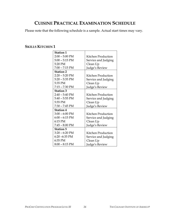# **CUISINE PRACTICAL EXAMINATION SCHEDULE**

Please note that the following schedule is a sample. Actual start times may vary.

# **SKILLS KITCHEN 1**

| <b>Station 1</b> |                     |
|------------------|---------------------|
| $2:00 - 5:00$ PM | Kitchen Production  |
| $5:00 - 5:15$ PM | Service and Judging |
| 5:20 PM          | Clean Up            |
| $7:00 - 7:15$ PM | Judge's Review      |
| <b>Station 2</b> |                     |
| $2:20 - 5:20$ PM | Kitchen Production  |
| $5:20 - 5:35$ PM | Service and Judging |
| 5:35 PM          | Clean Up            |
| 7:15 - 7:30 PM   | Judge's Review      |
| <b>Station 3</b> |                     |
| $2:40 - 5:40$ PM | Kitchen Production  |
| $5:40 - 5:55$ PM | Service and Judging |
| 5:55 PM          | Clean Up            |
| $7:30 - 7:45$ PM | Judge's Review      |
| <b>Station 4</b> |                     |
| $3:00 - 6:00$ PM | Kitchen Production  |
| $6:00 - 6:15$ PM | Service and Judging |
| 6:15 PM          | Clean Up            |
| $7:45 - 8:00$ PM | Judge's Review      |
| <b>Station 5</b> |                     |
| $3:20 - 6:20$ PM | Kitchen Production  |
| $6:20 - 6:35$ PM | Service and Judging |
| 6:35 PM          | Clean Up            |
| $8:00 - 8:15$ PM | Judge's Review      |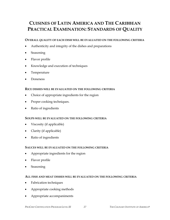# **CUISINES OF LATIN AMERICA AND THE CARIBBEAN PRACTICAL EXAMINATION: STANDARDS OF QUALITY**

#### **OVERALL QUALITY OF EACH DISH WILL BE EVALUATED ON THE FOLLOWING CRITERIA**

- Authenticity and integrity of the dishes and preparations
- Seasoning
- Flavor profile
- Knowledge and execution of techniques
- Temperature
- Doneness

#### **RICE DISHES WILL BE EVALUATED ON THE FOLLOWING CRITERIA**

- Choice of appropriate ingredients for the region
- Proper cooking techniques.
- Ratio of ingredients

#### **SOUPS WILL BE EVALUATED ON THE FOLLOWING CRITERIA**

- Viscosity (if applicable)
- Clarity (if applicable)
- Ratio of ingredients

#### **SAUCES WILL BE EVALUATED ON THE FOLLOWING CRITERIA**

- Appropriate ingredients for the region
- Flavor profile
- Seasoning

#### **ALL FISH AND MEAT DISHES WILL BE EVALUATED ON THE FOLLOWING CRITERIA**

- Fabrication techniques
- Appropriate cooking methods
- Appropriate accompaniments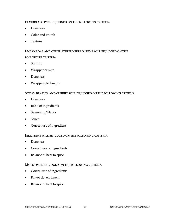#### **FLATBREADS WILL BE JUDGED ON THE FOLLOWING CRITERIA**

- Doneness
- Color and crumb
- Texture

### **EMPANADAS AND OTHER STUFFED BREAD ITEMS WILL BE JUDGED ON THE**

#### **FOLLOWING CRITERIA**

- Stuffing
- Wrapper or skin
- Doneness
- Wrapping technique

#### **STEWS, BRAISES, AND CURRIES WILL BE JUDGED ON THE FOLLOWING CRITERIA**

- Doneness
- Ratio of ingredients
- Seasoning/Flavor
- Sauce
- Correct use of ingredient

#### **JERK ITEMS WILL BE JUDGED ON THE FOLLOWING CRITERIA**

- Doneness
- Correct use of ingredients
- Balance of heat to spice

#### **MOLES WILL BE JUDGED ON THE FOLLOWING CRITERIA**

- Correct use of ingredients
- Flavor development
- Balance of heat to spice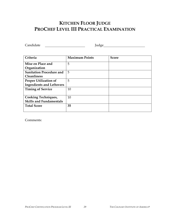# **KITCHEN FLOOR JUDGE PROCHEF LEVEL III PRACTICAL EXAMINATION**

Candidate Judge

| Criteria                         | <b>Maximum Points</b> | <b>Score</b> |
|----------------------------------|-----------------------|--------------|
| Mise en Place and                | 5                     |              |
| Organization                     |                       |              |
| <b>Sanitation Procedure and</b>  | 5                     |              |
| <b>Cleanliness</b>               |                       |              |
| <b>Proper Utilization of</b>     | 5                     |              |
| <b>Ingredients and Leftovers</b> |                       |              |
| <b>Timing of Service</b>         | 10                    |              |
|                                  |                       |              |
| <b>Cooking Techniques,</b>       | 10                    |              |
| <b>Skills and Fundamentals</b>   |                       |              |
| <b>Total Score</b>               | 35                    |              |
|                                  |                       |              |

Comments: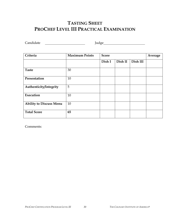# **TASTING SHEET PROCHEF LEVEL III PRACTICAL EXAMINATION**

Candidate Judge

| Criteria                       | <b>Maximum Points</b> | <b>Score</b> |         |          | Average |
|--------------------------------|-----------------------|--------------|---------|----------|---------|
|                                |                       | Dish I       | Dish II | Dish III |         |
| <b>Taste</b>                   | 30                    |              |         |          |         |
| Presentation                   | 10                    |              |         |          |         |
| Authenticity/Integrity         | 5                     |              |         |          |         |
| Execution                      | 10                    |              |         |          |         |
| <b>Ability to Discuss Menu</b> | 10                    |              |         |          |         |
| <b>Total Score</b>             | 65                    |              |         |          |         |

Comments: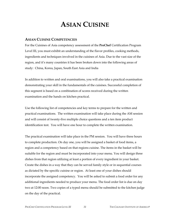# **ASIAN CUISINE**

#### **ASIAN CUISINE COMPETENCIES**

For the Cuisines of Asia competency assessment of the **ProChef** Certification Program Level III, you must exhibit an understanding of the flavor profiles, cooking methods, ingredients and techniques involved in the cuisines of Asia. Due to the vast size of the region, and it's many countries it has been broken down into the following areas of study: China, Korea, Japan, South East Asia and India

In addition to written and oral examinations, you will also take a practical examination demonstrating your skill in the fundamentals of the cuisines. Successful completion of this segment is based on a combination of scores received during the written examination and the hands on kitchen practical.

Use the following list of competencies and key terms to prepare for the written and practical examinations. The written examination will take place during the AM session and will consist of twenty-five multiple choice questions and a ten item product identification test. You will have one hour to complete the written examination.

The practical examination will take place in the PM session. You will have three hours to complete production. On day one, you will be assigned a basket of food items, a region and a competency based on that regions cuisine. The items in the basket will be suitable for the region and must be incorporated into your menu. You will design three dishes from that region utilizing at least a portion of every ingredient in your basket. Create the dishes in a way that they can be served family style or in sequential courses as dictated by the specific cuisine or region. At least one of your dishes should incorporate the assigned competency. You will be asked to submit a food order for any additional ingredients needed to produce your menu. The food order list is due on day two at 12:00 noon. Two copies of a typed menu should be submitted to the kitchen judge on the day of the practical.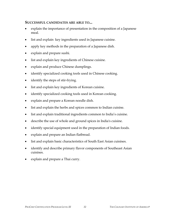#### **SUCCESSFUL CANDIDATES ARE ABLE TO...**

- explain the importance of presentation in the composition of a Japanese meal.
- list and explain key ingredients used in Japanese cuisine.
- apply key methods in the preparation of a Japanese dish.
- explain and prepare sushi.
- list and explain key ingredients of Chinese cuisine.
- explain and produce Chinese dumplings.
- identify specialized cooking tools used in Chinese cooking.
- identify the steps of stir-frying.
- list and explain key ingredients of Korean cuisine.
- identify specialized cooking tools used in Korean cooking.
- explain and prepare a Korean noodle dish.
- list and explain the herbs and spices common to Indian cuisine.
- list and explain traditional ingredients common to India's cuisine.
- describe the use of whole and ground spices in India's cuisine.
- identify special equipment used in the preparation of Indian foods.
- explain and prepare an Indian flatbread.
- list and explain basic characteristics of South East Asian cuisines.
- identify and describe primary flavor components of Southeast Asian cuisines.
- explain and prepare a Thai curry.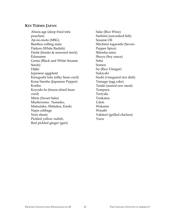#### **KEY TERMS: JAPAN**

Abura-age (deep fried tofu pouches) Aji-no-moto (MSG) Bamboo rolling mats Daikon (White Radish) Dashi (bonito & seaweed stock) Edamame Goma (Black and White Sesame Seeds) Hijiki Japanese eggplant Kinugoshi tofu (silky bean curd) Kona Sansho (Japanese Pepper) Konbu Koyodo-fu (freeze-dried bean curd) Mirin (Sweet Sake) Mushrooms: Nameko, Matsutake, Shiitakes, Enoki Napa cabbage Nori sheets Pickled yellow radish, Red pickled ginger (gari)

Sake (Rice Wine) Sashimi (uncooked fish) Sesame Oil Shichimi togarashi (Seven-Pepper Spice) Shinshu-miso Shoyu (Soy sauce) Soba Somen Su (Rice Vinegar) Sukiyaki Sushi (vinegared rice dish) Tamago (egg cake) Tataki (seared raw meat) Tempura Teriyaki Tonkatsu Udon Wakame Wasabi Yakitori (grilled chicken) Yuzu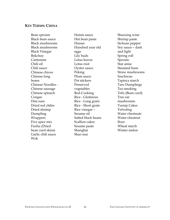#### **KEY TERMS: CHINA**

Bean sprouts Black bean sauce Black mushrooms Black mushrooms Black Vinegar Bokchoy Cantonese Chili oil Chili sauce Chinese chives Chinese long beans Chinese Noodles - Chinese sausage Chinese spinach Congee Dim sum Dried red chiles Dried shrimp Dumpling Wrappers Five spice mix Fuzhu (Dried bean curd skins) Garlic chili sauce Wok

Hoisin sauce Hot bean paste Hunan Hundred year old eggs Lily buds Lotus leaves Lotus root Oyster sauce Peking Plum sauce Pot stickers Preserved vegetables Red-Cooking Rice - Glutinous Rice - Long grain Rice - Short grain Rice vinegar – Sesame oil Salted black beans Scallion cakes Sesame paste Shanghai Shao mai

Shaoxing wine Shrimp paste Sichuan pepper Soy sauce – dark and light Spring roll Sprouts Star anise Steamed buns Straw mushrooms Szechwan Tapioca starch Taro Dumplings Tea smoking Tofu (Bean curd) Tree ear mushrooms Turnip Cakes Velveting Water chestnuts Water-chestnut flour Wheat starch Winter melon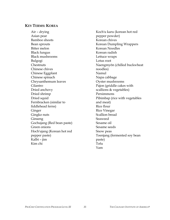#### **KEY TERMS: KOREA**

Air – drying Asian pear Bamboo shoots Bean sprouts Bitter melon Black fungus Black mushrooms Bulgogi **Chestnuts** Chinese chives Chinese Eggplant Chinese spinach Chrysanthemum leaves Cilantro Dried anchovy Dried shrimp Dried squid Fernbracken (similar to fiddlehead ferns) Ginger Gingko nuts Ginseng Gochujang (Red bean paste) Green onions Hoch'ujang (Korean hot red pepper paste) Kalbi – jim Kim chi

Koch'u karu (korean hot red pepper powder) Korean chives Korean Dumpling Wrappers Korean Noodles Korean radish Lettuce wraps Lotus root Naengmyŏn (chilled buckwheat noodles) Namul Napa cabbage Oyster mushrooms Pajon (griddle cakes with scallions & vegetables) Persimmons Pibimbap (rice with vegetables and meat) Rice flour Rice Vinegar Scallion bread Seaweed Sesame oil Sesame seeds Snow peas Toenjang (fermented soy bean paste) Tofu Yam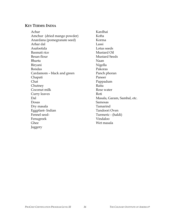# **KEY TERMS: INDIA**

| Achar                       | Kardhai                     |
|-----------------------------|-----------------------------|
| Amchur (dried mango powder) | Kofta                       |
| Anardana (pomegranate seed) | Korma                       |
| Arhar dal                   | Lassi                       |
| Asafoetida                  | Lotus seeds                 |
| Basmati rice                | Mustard Oil                 |
| Besan flour                 | <b>Mustard Seeds</b>        |
| Bharta                      | Naan                        |
| Biryani                     | Nigella                     |
| <b>Bondas</b>               | Pakoras                     |
| Cardamom – black and green  | Panch phoran                |
| Chapati                     | Paneer                      |
| Chat                        | Pappadum                    |
| Chutney                     | Raita                       |
| Coconut milk                | Rose water                  |
| Curry leaves                | Roti                        |
| Dal                         | Masala, Garam, Sambal, etc. |
| Dosas                       | Samosas                     |
| Dry masala                  | Tamarind                    |
| Eggplant-Indian             | Tandoori Oven               |
| Fennel seed-                | Turmeric - (haldi)          |
| Fenugreek                   | Vindaloo                    |
| Ghee                        | Wet masala                  |
| Jaggery                     |                             |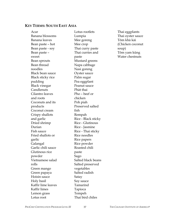#### **KEY TERMS: SOUTH EAST ASIA**

Acar Banana blossoms Banana leaves Bean paste – hot Bean paste - soy Bean paste – sweet Bean sprouts Bean thread noodles Black bean sauce Black sticky rice pudding Black vinegar Candlenuts Cilantro leaves and roots Coconuts and its products Coconut cream Crispy shallots and garlic Dried shrimp Durian Fish sauce Fried shallots or garlic Galangal Garlic chili sauce Glutinous rice powder Vietnamese salad rolls Green mango Green papaya Hoisin sauce Holy basil Kaffir lime leaves Kaffir limes Lemon grass Lotus root

Lotus rootlets Lumpia Mee goreng Mee crop Thai curry paste Thai curries and paste Mustard greens Napa cabbage Nasi goreng Oyster sauce Palm sugar Pea eggplant Peanut sauce Phàt thai Pho – beef or chicken Poh piah Preserved salted fish Rempah Rice - Black sticky Rice - Glutinous Rice - Jasmine Rice - Thai sticky Rice noodles Rice papers Rice powder Roasted chili paste Sago Salted black beans Salted preserved vegetables Salted radish Satay Soy sauce Tamarind Tapioca Tempeh Thai bird chiles

Thai eggplants Thai oyster sauce Tôm khà kài (Chicken coconut soup) Tôm yam kûng Water chestnuts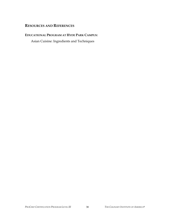# **RESOURCES AND REFERENCES**

#### **EDUCATIONAL PROGRAM AT HYDE PARK CAMPUS:**

Asian Cuisine: Ingredients and Techniques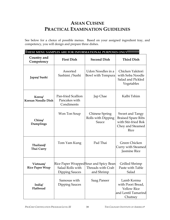# **ASIAN CUISINE PRACTICAL EXAMINATION GUIDELINES**

See below for a choice of possible menus. Based on your assigned ingredient tray, and competency, you will design and prepare three dishes.

| THESE MENU SAMPLES ARE FOR INFORMATIONAL PURPOSES ONLY!!!!!!!!!!!! |                                                   |                                                                          |                                                                                                 |  |
|--------------------------------------------------------------------|---------------------------------------------------|--------------------------------------------------------------------------|-------------------------------------------------------------------------------------------------|--|
| Country and<br>Competency                                          | <b>First Dish</b>                                 | <b>Second Dish</b>                                                       | <b>Third Dish</b>                                                                               |  |
| Japan/Sushi                                                        | Assorted<br>Sashimi / Sushi                       | Udon Noodles in a<br>Bowl with Tempura                                   | Chicken Yakitori<br>with Soba Noodle<br>Salad and Pickled<br>Vegetables                         |  |
| Korea/<br><b>Korean Noodle Dish</b>                                | Pan-fried Scallion<br>Pancakes with<br>Condiments | Jap Chae                                                                 | Kalbi Tshim                                                                                     |  |
| China/<br>Dumplings                                                | Won Ton Soup                                      | Chinese Spring<br>Rolls with Dipping<br>Sauce                            | Sweet and Tangy<br><b>Braised Spare Ribs</b><br>with Stir-fried Bok<br>Choy and Steamed<br>Rice |  |
| Thailand/<br>Thai Curry                                            | Tom Yam Kung                                      | Pad Thai                                                                 | Green Chicken<br>Curry with Steamed<br>Jasmine Rice                                             |  |
| Vietnam/<br><b>Rice Paper Wrap</b>                                 | Salad Rolls with<br><b>Dipping Sauces</b>         | Rice Paper WrappedSour and Spicy Bean<br>Threads with Crab<br>and Shrimp | Grilled Shrimp<br>Paste with Table<br>Salad                                                     |  |
| India/<br>Flatbread                                                | Samosas with<br>Dipping Sauces                    | Saag Paneer                                                              | Lamb Korma<br>with Poori Bread,<br><b>Yellow Rice</b><br>and Lentil Tamarind<br>Chutney         |  |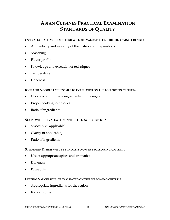# **ASIAN CUISINES PRACTICAL EXAMINATION STANDARDS OF QUALITY**

#### **OVERALL QUALITY OF EACH DISH WILL BE EVALUATED ON THE FOLLOWING CRITERIA**

- Authenticity and integrity of the dishes and preparations
- **Seasoning**
- Flavor profile
- Knowledge and execution of techniques
- Temperature
- Doneness

#### **RICE AND NOODLE DISHES WILL BE EVALUATED ON THE FOLLOWING CRITERIA**

- Choice of appropriate ingredients for the region
- Proper cooking techniques.
- Ratio of ingredients

#### **SOUPS WILL BE EVALUATED ON THE FOLLOWING CRITERIA**

- Viscosity (if applicable)
- Clarity (if applicable)
- Ratio of ingredients

#### **STIR-FRIED DISHES WILL BE EVALUATED ON THE FOLLOWING CRITERIA**

- Use of appropriate spices and aromatics
- Doneness
- Knife cuts

#### **DIPPING SAUCES WILL BE EVALUATED ON THE FOLLOWING CRITERIA**

- Appropriate ingredients for the region
- Flavor profile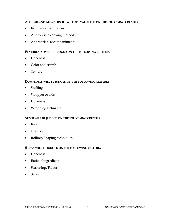#### **ALL FISH AND MEAT DISHES WILL BE EVALUATED ON THE FOLLOWING CRITERIA**

- Fabrication techniques
- Appropriate cooking methods
- Appropriate accompaniments

#### **FLATBREADS WILL BE JUDGED ON THE FOLLOWING CRITERIA**

- Doneness
- Color and crumb
- Texture

#### **DUMPLINGS WILL BE JUDGED ON THE FOLLOWING CRITERIA**

- Stuffing
- Wrapper or skin
- Doneness
- Wrapping technique

#### **SUSHI WILL BE JUDGED ON THE FOLLOWING CRITERIA**

- Rice
- Garnish
- Rolling/Shaping techniques

#### **STEWS WILL BE JUDGED ON THE FOLLOWING CRITERIA**

- Doneness
- Ratio of ingredients
- Seasoning/Flavor
- Sauce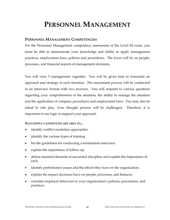# **PERSONNEL MANAGEMENT**

#### **PERSONNEL MANAGEMENT COMPETENCIES**

For the Personnel Management competency assessment of the Level III exam, you must be able to demonstrate your knowledge and ability to apply management practices, employment laws, policies and procedures. The focus will be on people, processes, and financial aspects of management decisions.

You will view 5 management vignettes. You will be given time to formulate an approach and strategy to each situation. The assessment process will be conducted in an interview format with two proctors. You will respond to various questions regarding your comprehension of the situation, the ability to manage the situation and the application of company procedures and employment laws. You may also be asked to role play. Your thought process will be challenged. Therefore, it is important to use logic to support your approach.

#### **SUCCESSFUL CANDIDATES ARE ABLE TO...**

- identify conflict resolution approaches.
- identify the various types of training.
- list the guidelines for conducting a termination interview**.**
- explain the importance of follow-up.
- define essential elements of successful discipline and explain the importance of each.
- identify performance issues and the effects they have on the organization.
- explain the impact decisions have on people, processes, and finances.
- correlate employee behaviors to your organization's policies, procedures, and practices.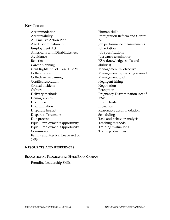#### **KEY TERMS**

Accommodation Accountability Affirmative Action Plan Age Discrimination in Employment Act Americans with Disabilities Act Avoidance Benefits Career planning Civil Rights Act of 1964, Title VII Collaboration Collective Bargaining Conflict resolution Critical incident Culture Delivery methods **Demographics** Discipline Discrimination Disparate Impact Disparate Treatment Due process Equal Employment Opportunity Equal Employment Opportunity Commission Family and Medical Leave Act of 1993

Human skills Immigration Reform and Control Act Job performance measurements Job rotation Job specifications Just cause termination KSA (knowledge, skills and abilities) Management by objective Management by walking around Management grid Negligent hiring Negotiation Perception Pregnancy Discrimination Act of 1978 Productivity Projection Reasonable accommodation Scheduling Task and behavior analysis Teaching methods Training evaluations Training objectives

#### **RESOURCES AND REFERENCES**

#### **EDUCATIONAL PROGRAMS AT HYDE PARK CAMPUS**

Frontline Leadership Skills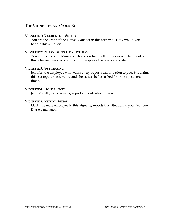## **THE VIGNETTES AND YOUR ROLE**

#### **VIGNETTE 1: DISGRUNTLED SERVER**

You are the Front of the House Manager in this scenario. How would you handle this situation?

#### **VIGNETTE 2: INTERVIEWING EFFECTIVENESS**

You are the General Manager who is conducting this interview. The intent of this interview was for you to simply approve the final candidate.

#### **VIGNETTE 3: JUST TEASING**

Jennifer, the employee who walks away, reports this situation to you. She claims this is a regular occurrence and she states she has asked Phil to stop several times.

#### **VIGNETTE 4: STOLEN SPICES**

James Smith, a dishwasher, reports this situation to you.

#### **VIGNETTE 5: GETTING AHEAD**

Mark, the male employee in this vignette, reports this situation to you. You are Diane's manager.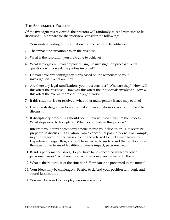## **THE ASSESSMENT PROCESS**

Of the five vignettes reviewed, the proctors will randomly select 2 vignettes to be discussed. To prepare for the interview, consider the following:

- 1. Your understanding of the situation and the issues to be addressed.
- 2. The impact the situation has on the business.
- 3. What is the resolution you are trying to achieve?
- 4. What strategies will you employ during the investigation process? What questions will you ask the parties involved?
- 5. Do you have any contingency plans based on the responses to your investigation? What are they?
- 6. Are there any legal ramifications you must consider? What are they? How will this affect the business? How will this affect the individuals involved? How will this affect the overall morale of the organization?
- 7. If this situation is not resolved, what other management issues may evolve?
- 8. Design a strategy/plan to ensure that similar situations do not occur. Be able to discuss it.
- 9. If disciplinary procedures should occur, how will you structure the process? What steps need to take place? What is your role in this process?
- 10. Integrate your current company's policies into your discussion. However, be prepared to discuss this situation from a conceptual point of view. For example, in your organization certain issues may be referred to the Human Resource Department. Regardless, you will be expected to understand the ramifications of the situation in terms of legalities, business impact, personnel, etc.
- 11. Besides performance issues, do you have to be concerned with any other personnel issues? What are they? What is your plan to deal with them?
- 12. What is the root cause of the situation? How can it be prevented in the future?
- 13. Your ideas may be challenged. Be able to defend your position with logic and sound justification.
- 14. You may be asked to role play various scenarios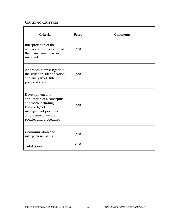# **GRADING CRITERIA**

| Criteria                                                                                                                                                       | <b>Score</b> | <b>Comments</b> |
|----------------------------------------------------------------------------------------------------------------------------------------------------------------|--------------|-----------------|
| Interpretation of the<br>scenario and expression of<br>the management issues<br>involved                                                                       | /20          |                 |
| Approach to investigating<br>the situation, identification<br>and analysis of different<br>points of view                                                      | /30          |                 |
| Development and<br>application of a conceptual<br>approach including<br>knowledge of<br>management practices,<br>employment law and<br>policies and procedures | /30          |                 |
| Communication and<br>interpersonal skills                                                                                                                      | /20          |                 |
| <b>Total Score</b>                                                                                                                                             | /100         |                 |